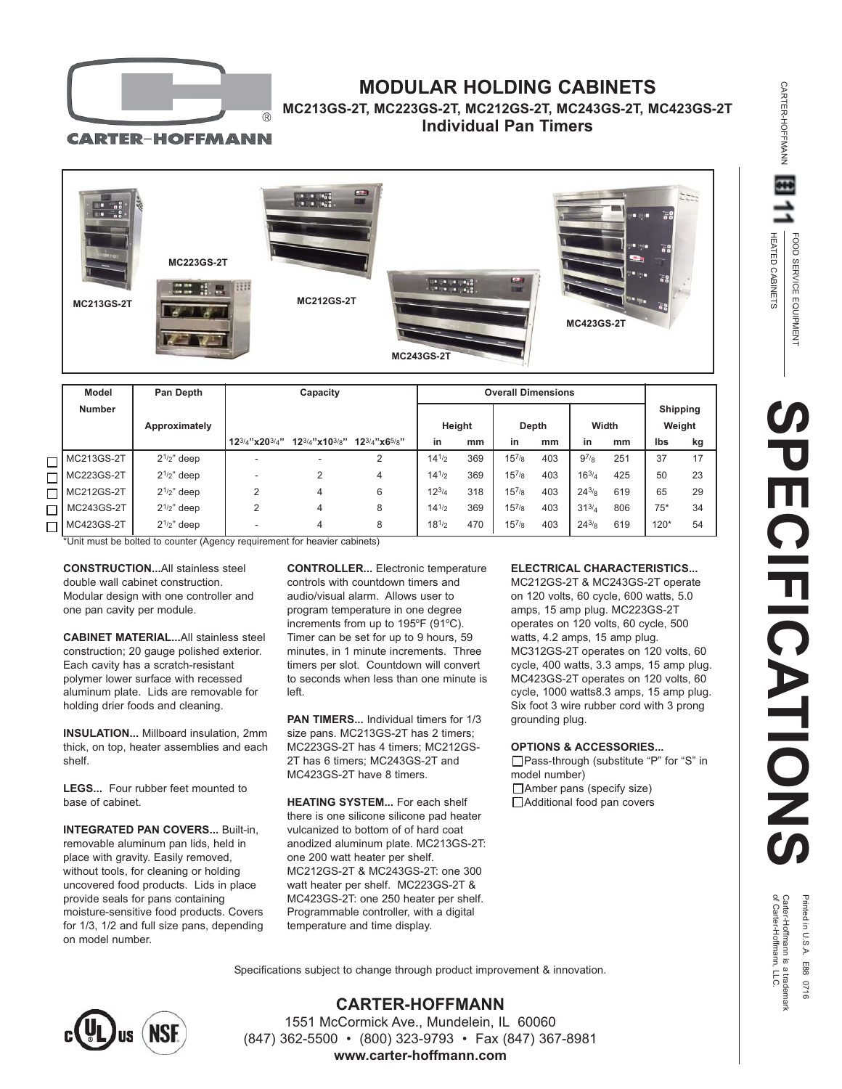

# **MODULAR HOLDING CABINETS**

## **MC213GS-2T, MC223GS-2T, MC212GS-2T, MC243GS-2T, MC423GS-2T Individual Pan Timers**

**CARTER-HOFFMANN** 



|  | Model         | Pan Depth      | Capacity                   |                            |                                 | <b>Overall Dimensions</b> |     |            |     |            |     |                 |    |
|--|---------------|----------------|----------------------------|----------------------------|---------------------------------|---------------------------|-----|------------|-----|------------|-----|-----------------|----|
|  | <b>Number</b> |                |                            |                            |                                 |                           |     |            |     |            |     | <b>Shipping</b> |    |
|  |               | Approximately  |                            |                            |                                 | Height                    |     | Depth      |     | Width      |     | Weight          |    |
|  |               |                | $12^{3/4}$ "x20 $^{3/4}$ " | $12^{3/4}$ "x10 $^{3/8}$ " | $12^{3/4}$ "x6 <sup>5</sup> /8" | in                        | mm  | in         | mm  | in         | mm  | Ibs             | kg |
|  | MC213GS-2T    | $2^{1/2}$ deep |                            | $\overline{\phantom{a}}$   | 2                               | $14^{1/2}$                | 369 | $15^{7/8}$ | 403 | $9^{7/8}$  | 251 | 37              | 17 |
|  | MC223GS-2T    | $21/2$ " deep  |                            | 2                          | 4                               | $14^{1/2}$                | 369 | $15^{7/8}$ | 403 | $16^{3/4}$ | 425 | 50              | 23 |
|  | MC212GS-2T    | $2^{1/2}$ deep | $\overline{2}$             | 4                          | 6                               | $12^{3/4}$                | 318 | $15^{7/8}$ | 403 | $24^{3}/8$ | 619 | 65              | 29 |
|  | MC243GS-2T    | $2^{1/2}$ deep | $\overline{2}$             | 4                          | 8                               | 14 <sup>1</sup> /2        | 369 | $15^{7/8}$ | 403 | $31^{3/4}$ | 806 | $75*$           | 34 |
|  | MC423GS-2T    | $2^{1/2}$ deep |                            | 4                          | 8                               | $18^{1/2}$                | 470 | $15^{7/8}$ | 403 | $24^{3/8}$ | 619 | $120*$          | 54 |

\*Unit must be bolted to counter (Agency requirement for heavier cabinets)

**CONSTRUCTION...**All stainless steel double wall cabinet construction. Modular design with one controller and one pan cavity per module.

**CABINET MATERIAL...**All stainless steel construction; 20 gauge polished exterior. Each cavity has a scratch-resistant polymer lower surface with recessed aluminum plate. Lids are removable for holding drier foods and cleaning.

**INSULATION...** Millboard insulation, 2mm thick, on top, heater assemblies and each shelf.

**LEGS...** Four rubber feet mounted to base of cabinet.

**INTEGRATED PAN COVERS...** Built-in, removable aluminum pan lids, held in place with gravity. Easily removed, without tools, for cleaning or holding uncovered food products. Lids in place provide seals for pans containing moisture-sensitive food products. Covers for 1/3, 1/2 and full size pans, depending on model number.

**CONTROLLER...** Electronic temperature controls with countdown timers and audio/visual alarm. Allows user to program temperature in one degree increments from up to 195°F (91°C). Timer can be set for up to 9 hours, 59 minutes, in 1 minute increments. Three timers per slot. Countdown will convert to seconds when less than one minute is left.

**PAN TIMERS...** Individual timers for 1/3 size pans. MC213GS-2T has 2 timers; MC223GS-2T has 4 timers; MC212GS-2T has 6 timers; MC243GS-2T and MC423GS-2T have 8 timers.

**HEATING SYSTEM...** For each shelf there is one silicone silicone pad heater vulcanized to bottom of of hard coat anodized aluminum plate. MC213GS-2T: one 200 watt heater per shelf. MC212GS-2T & MC243GS-2T: one 300 watt heater per shelf. MC223GS-2T & MC423GS-2T: one 250 heater per shelf. Programmable controller, with a digital temperature and time display.

## **ELECTRICAL CHARACTERISTICS...**

MC212GS-2T & MC243GS-2T operate on 120 volts, 60 cycle, 600 watts, 5.0 amps, 15 amp plug. MC223GS-2T operates on 120 volts, 60 cycle, 500 watts, 4.2 amps, 15 amp plug. MC312GS-2T operates on 120 volts, 60 cycle, 400 watts, 3.3 amps, 15 amp plug. MC423GS-2T operates on 120 volts, 60 cycle, 1000 watts8.3 amps, 15 amp plug. Six foot 3 wire rubber cord with 3 prong grounding plug.

#### **OPTIONS & ACCESSORIES...**

Pass-through (substitute "P" for "S" in model number) □Amber pans (specify size) □ Additional food pan covers

HEATED CABINETS

HEATED CABINETS

CARTER-HOFFMANN

CARTER-HOFFMANN

of Carter-Hoffmann, LLC. Carter-Hoffmann is a trademark Printed in U.S.A. E88 0716

Specifications subject to change through product improvement & innovation.



**CARTER-HOFFMANN** 1551 McCormick Ave., Mundelein, IL 60060 (847) 362-5500 • (800) 323-9793 • Fax (847) 367-8981 **www.carter-hoffmann.com**